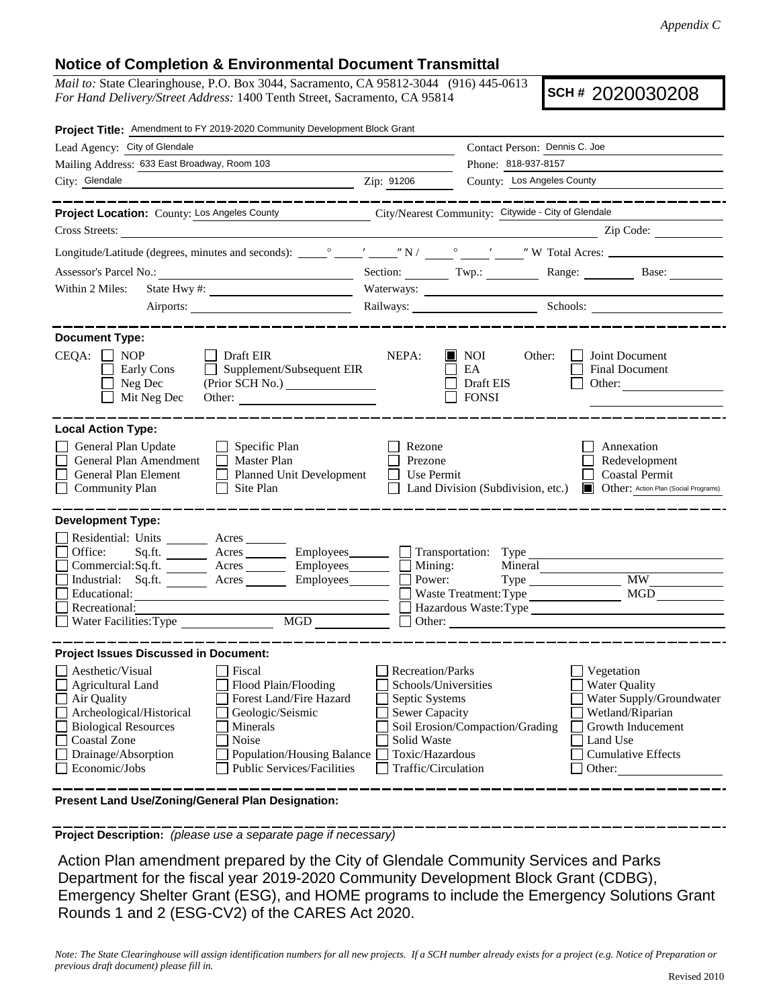## **Notice of Completion & Environmental Document Transmittal**

*Mail to:* State Clearinghouse, P.O. Box 3044, Sacramento, CA 95812-3044 (916) 445-0613 *For Hand Delivery/Street Address:* 1400 Tenth Street, Sacramento, CA 95814

**SCH #** 2020030208

| Project Title: Amendment to FY 2019-2020 Community Development Block Grant                                                                                                                                                                                                                                                                        |                                                                                                                       |                                                                     |                                                                                                                                                                                                                                                                                                                     |
|---------------------------------------------------------------------------------------------------------------------------------------------------------------------------------------------------------------------------------------------------------------------------------------------------------------------------------------------------|-----------------------------------------------------------------------------------------------------------------------|---------------------------------------------------------------------|---------------------------------------------------------------------------------------------------------------------------------------------------------------------------------------------------------------------------------------------------------------------------------------------------------------------|
| Lead Agency: City of Glendale                                                                                                                                                                                                                                                                                                                     |                                                                                                                       | Contact Person: Dennis C. Joe                                       |                                                                                                                                                                                                                                                                                                                     |
| Mailing Address: 633 East Broadway, Room 103                                                                                                                                                                                                                                                                                                      |                                                                                                                       | Phone: 818-937-8157                                                 |                                                                                                                                                                                                                                                                                                                     |
| City: Glendale<br><u> 1989 - Johann Stein, mars an de Frankryk († 1958)</u>                                                                                                                                                                                                                                                                       | Zip: 91206                                                                                                            | County: Los Angeles County                                          |                                                                                                                                                                                                                                                                                                                     |
| ___________<br>Project Location: County: Los Angeles County                                                                                                                                                                                                                                                                                       |                                                                                                                       |                                                                     | ----------                                                                                                                                                                                                                                                                                                          |
| Cross Streets:<br><u> 1989 - Jan Stein Harry Stein Harry Stein Harry</u>                                                                                                                                                                                                                                                                          |                                                                                                                       | City/Nearest Community: Citywide - City of Glendale                 | $\frac{1}{2}$ $\frac{1}{2}$ $\frac{1}{2}$ $\frac{1}{2}$ $\frac{1}{2}$ $\frac{1}{2}$ $\frac{1}{2}$ $\frac{1}{2}$ $\frac{1}{2}$ $\frac{1}{2}$ $\frac{1}{2}$ $\frac{1}{2}$ $\frac{1}{2}$ $\frac{1}{2}$ $\frac{1}{2}$ $\frac{1}{2}$ $\frac{1}{2}$ $\frac{1}{2}$ $\frac{1}{2}$ $\frac{1}{2}$ $\frac{1}{2}$ $\frac{1}{2}$ |
|                                                                                                                                                                                                                                                                                                                                                   |                                                                                                                       |                                                                     |                                                                                                                                                                                                                                                                                                                     |
|                                                                                                                                                                                                                                                                                                                                                   |                                                                                                                       |                                                                     | Section: Twp.: Range: Base:                                                                                                                                                                                                                                                                                         |
| Within 2 Miles:                                                                                                                                                                                                                                                                                                                                   |                                                                                                                       |                                                                     |                                                                                                                                                                                                                                                                                                                     |
|                                                                                                                                                                                                                                                                                                                                                   |                                                                                                                       |                                                                     | Railways: Schools: Schools:                                                                                                                                                                                                                                                                                         |
| <b>Document Type:</b><br>$CEQA: \Box NOP$<br>    Draft EIR<br>Supplement/Subsequent EIR<br>Early Cons<br>$\mathbf{1}$                                                                                                                                                                                                                             | NEPA:                                                                                                                 | $\blacksquare$ NOI<br>Other:<br>EA                                  | Joint Document<br>Final Document                                                                                                                                                                                                                                                                                    |
| Neg Dec<br>(Prior SCH No.)<br>$\mathbf{1}$<br>Mit Neg Dec<br>Other:                                                                                                                                                                                                                                                                               |                                                                                                                       | Draft EIS<br><b>FONSI</b>                                           | Other: $\qquad \qquad$                                                                                                                                                                                                                                                                                              |
| <b>Local Action Type:</b><br>General Plan Update<br>$\Box$ Specific Plan<br>General Plan Amendment<br>$\Box$ Master Plan<br>General Plan Element<br>Planned Unit Development<br><b>Community Plan</b><br>Site Plan<br>$\mathbf{1}$                                                                                                                | Rezone<br>Prezone<br>Use Permit                                                                                       | Land Division (Subdivision, etc.)                                   | Annexation<br>Redevelopment<br><b>Coastal Permit</b><br><b>Other:</b> Action Plan (Social Programs)                                                                                                                                                                                                                 |
| <b>Development Type:</b><br>Residential: Units ________ Acres ______<br>Office:<br>Sq.fit.<br>Acres<br>Acres Employees<br>Commercial:Sq.ft.<br>Employees_________<br>Industrial: Sq.ft. Acres<br>Educational:<br>the control of the control of the control of<br>Recreational:<br>Water Facilities: Type MGD                                      | Mining:<br>Power:                                                                                                     | Mineral<br>Waste Treatment: Type<br>Hazardous Waste: Type<br>Other: | <b>MW</b><br><b>MGD</b>                                                                                                                                                                                                                                                                                             |
| <b>Project Issues Discussed in Document:</b><br>Aesthetic/Visual<br>Fiscal<br>$\Box$ Agricultural Land<br>Flood Plain/Flooding<br>Forest Land/Fire Hazard<br>Air Quality<br>Archeological/Historical<br>Geologic/Seismic<br><b>Biological Resources</b><br>Minerals<br>Noise<br>Coastal Zone<br>Drainage/Absorption<br>Population/Housing Balance | Recreation/Parks<br>Schools/Universities<br>Septic Systems<br><b>Sewer Capacity</b><br>Solid Waste<br>Toxic/Hazardous | Soil Erosion/Compaction/Grading                                     | Vegetation<br><b>Water Quality</b><br>Water Supply/Groundwater<br>Wetland/Riparian<br>Growth Inducement<br>Land Use<br><b>Cumulative Effects</b>                                                                                                                                                                    |
| <b>Public Services/Facilities</b><br>Economic/Jobs                                                                                                                                                                                                                                                                                                | Traffic/Circulation<br>Other:                                                                                         |                                                                     |                                                                                                                                                                                                                                                                                                                     |

**Present Land Use/Zoning/General Plan Designation:**

**Project Description:** *(please use a separate page if necessary)*

 Action Plan amendment prepared by the City of Glendale Community Services and Parks Department for the fiscal year 2019-2020 Community Development Block Grant (CDBG), Emergency Shelter Grant (ESG), and HOME programs to include the Emergency Solutions Grant Rounds 1 and 2 (ESG-CV2) of the CARES Act 2020.